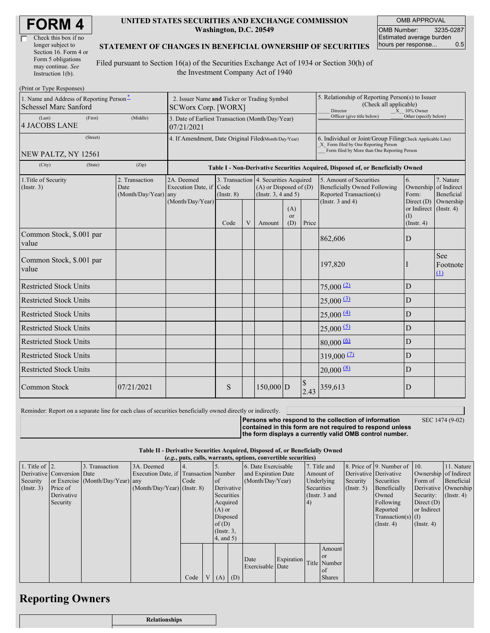| Check this box if no  |
|-----------------------|
| longer subject to     |
| Section 16. Form 4 or |
| Form 5 obligations    |
| may continue. See     |
| Instruction 1(b).     |

 $(D_{\text{rint}} \text{ or } T_{\text{true}})$ 

#### **UNITED STATES SECURITIES AND EXCHANGE COMMISSION Washington, D.C. 20549**

OMB APPROVAL OMB Number: 3235-0287 Estimated average burden hours per response... 0.5

### **STATEMENT OF CHANGES IN BENEFICIAL OWNERSHIP OF SECURITIES**

Filed pursuant to Section 16(a) of the Securities Exchange Act of 1934 or Section 30(h) of the Investment Company Act of 1940

| $\pm 1$ int of $\pm y$ pc in exponses<br>1. Name and Address of Reporting Person*<br><b>Schessel Marc Sanford</b> | 2. Issuer Name and Ticker or Trading Symbol<br><b>SCWorx Corp. [WORX]</b> |                                                                                  |                         |   |                                                                                                 |                  | 5. Relationship of Reporting Person(s) to Issuer<br>(Check all applicable)<br>Director<br>$X = 10\%$ Owner                                         |                                                                                                                    |                                                   |                                                     |  |
|-------------------------------------------------------------------------------------------------------------------|---------------------------------------------------------------------------|----------------------------------------------------------------------------------|-------------------------|---|-------------------------------------------------------------------------------------------------|------------------|----------------------------------------------------------------------------------------------------------------------------------------------------|--------------------------------------------------------------------------------------------------------------------|---------------------------------------------------|-----------------------------------------------------|--|
| (Last)<br>(First)<br><b>4 JACOBS LANE</b>                                                                         | (Middle)                                                                  | 3. Date of Earliest Transaction (Month/Day/Year)<br>07/21/2021                   |                         |   |                                                                                                 |                  |                                                                                                                                                    | Officer (give title below)                                                                                         | Other (specify below)                             |                                                     |  |
| (Street)<br>NEW PALTZ, NY 12561                                                                                   | 4. If Amendment, Date Original Filed(Month/Day/Year)                      |                                                                                  |                         |   |                                                                                                 |                  | 6. Individual or Joint/Group Filing(Check Applicable Line)<br>X Form filed by One Reporting Person<br>Form filed by More than One Reporting Person |                                                                                                                    |                                                   |                                                     |  |
| (City)<br>(State)                                                                                                 | (Zip)                                                                     | Table I - Non-Derivative Securities Acquired, Disposed of, or Beneficially Owned |                         |   |                                                                                                 |                  |                                                                                                                                                    |                                                                                                                    |                                                   |                                                     |  |
| 1. Title of Security<br>2. Transaction<br>(Insert. 3)<br>Date<br>(Month/Day/Year)                                 |                                                                           | 2A. Deemed<br>Execution Date, if<br>any<br>(Month/Day/Year)                      | Code<br>$($ Instr. $8)$ |   | 3. Transaction 4. Securities Acquired<br>$(A)$ or Disposed of $(D)$<br>(Instr. $3, 4$ and $5$ ) |                  |                                                                                                                                                    | 5. Amount of Securities<br><b>Beneficially Owned Following</b><br>Reported Transaction(s)<br>(Instr. $3$ and $4$ ) | 6.<br>Ownership<br>Form:<br>Direct (D)            | 7. Nature<br>of Indirect<br>Beneficial<br>Ownership |  |
|                                                                                                                   |                                                                           |                                                                                  | Code                    | V | Amount                                                                                          | (A)<br>or<br>(D) | Price                                                                                                                                              |                                                                                                                    | or Indirect (Instr. 4)<br>(1)<br>$($ Instr. 4 $)$ |                                                     |  |
| Common Stock, \$.001 par<br>value                                                                                 |                                                                           |                                                                                  |                         |   |                                                                                                 |                  |                                                                                                                                                    | 862,606                                                                                                            | D                                                 |                                                     |  |
| Common Stock, \$.001 par<br>value                                                                                 |                                                                           |                                                                                  |                         |   |                                                                                                 |                  |                                                                                                                                                    | 197,820                                                                                                            |                                                   | See<br>Footnote<br>(1)                              |  |
| <b>Restricted Stock Units</b>                                                                                     |                                                                           |                                                                                  |                         |   |                                                                                                 |                  |                                                                                                                                                    | $75,000$ <sup>(2)</sup>                                                                                            | D                                                 |                                                     |  |
| <b>Restricted Stock Units</b>                                                                                     |                                                                           |                                                                                  |                         |   |                                                                                                 |                  |                                                                                                                                                    | $25,000 \frac{3}{2}$                                                                                               | D                                                 |                                                     |  |
| <b>Restricted Stock Units</b>                                                                                     |                                                                           |                                                                                  |                         |   |                                                                                                 |                  |                                                                                                                                                    | 25,000(4)                                                                                                          | D                                                 |                                                     |  |
| <b>Restricted Stock Units</b>                                                                                     |                                                                           |                                                                                  |                         |   |                                                                                                 |                  |                                                                                                                                                    | $25,000$ <sup>(5)</sup>                                                                                            | $\mathbf D$                                       |                                                     |  |
| <b>Restricted Stock Units</b>                                                                                     |                                                                           |                                                                                  |                         |   |                                                                                                 |                  |                                                                                                                                                    | $80,000 \, 60$                                                                                                     | D                                                 |                                                     |  |
| <b>Restricted Stock Units</b>                                                                                     |                                                                           |                                                                                  |                         |   |                                                                                                 |                  |                                                                                                                                                    | $319,000$ (2)                                                                                                      | ${\rm D}$                                         |                                                     |  |
| <b>Restricted Stock Units</b>                                                                                     |                                                                           |                                                                                  |                         |   |                                                                                                 |                  |                                                                                                                                                    | $20,000$ (8)                                                                                                       | $\mathbf D$                                       |                                                     |  |
| Common Stock                                                                                                      | 07/21/2021                                                                |                                                                                  | S                       |   | $150,000$ D                                                                                     |                  | \$<br>2.43                                                                                                                                         | 359,613                                                                                                            | D                                                 |                                                     |  |

Reminder: Report on a separate line for each class of securities beneficially owned directly or indirectly.

SEC 1474 (9-02)

**Persons who respond to the collection of information contained in this form are not required to respond unless the form displays a currently valid OMB control number.**

| Table II - Derivative Securities Acquired, Disposed of, or Beneficially Owned |
|-------------------------------------------------------------------------------|
|                                                                               |

| (e.g., puts, calls, warrants, options, convertible securities) |                            |                                  |                                       |      |  |                     |                  |                          |                 |            |                       |                       |                              |                      |            |
|----------------------------------------------------------------|----------------------------|----------------------------------|---------------------------------------|------|--|---------------------|------------------|--------------------------|-----------------|------------|-----------------------|-----------------------|------------------------------|----------------------|------------|
| 1. Title of $\vert$ 2.                                         |                            | 3. Transaction                   | 3A. Deemed                            |      |  |                     |                  | 6. Date Exercisable      |                 |            | 7. Title and          |                       | 8. Price of 9. Number of 10. |                      | 11. Nature |
|                                                                | Derivative Conversion Date |                                  | Execution Date, if Transaction Number |      |  | and Expiration Date |                  |                          | Amount of       |            | Derivative Derivative | Ownership of Indirect |                              |                      |            |
| Security                                                       |                            | or Exercise (Month/Day/Year) any |                                       | Code |  | of                  | (Month/Day/Year) |                          |                 | Underlying | Security              | Securities            | Form of                      | Beneficial           |            |
| $($ Instr. 3 $)$                                               | Price of                   |                                  | $(Month/Day/Year)$ (Instr. 8)         |      |  |                     | Derivative       |                          | Securities      |            | (Insert. 5)           | Beneficially          |                              | Derivative Ownership |            |
|                                                                | Derivative                 |                                  |                                       |      |  | Securities          |                  |                          | (Instr. $3$ and |            |                       | Owned                 | Security:                    | $($ Instr. 4 $)$     |            |
|                                                                | Security                   |                                  |                                       |      |  | Acquired            |                  |                          |                 | $\vert 4)$ |                       |                       | Following                    | Direct $(D)$         |            |
|                                                                |                            |                                  |                                       |      |  |                     | $(A)$ or         |                          |                 |            |                       |                       | Reported                     | or Indirect          |            |
|                                                                |                            |                                  |                                       |      |  | Disposed            |                  |                          |                 |            |                       | $Transaction(s)$ (I)  |                              |                      |            |
|                                                                |                            |                                  |                                       |      |  | of $(D)$            |                  |                          |                 |            |                       |                       | $($ Instr. 4 $)$             | $($ Instr. 4 $)$     |            |
|                                                                |                            |                                  |                                       |      |  | $($ Instr. $3,$     |                  |                          |                 |            |                       |                       |                              |                      |            |
|                                                                |                            |                                  |                                       |      |  | $4$ , and $5$ )     |                  |                          |                 |            |                       |                       |                              |                      |            |
|                                                                |                            |                                  |                                       |      |  |                     |                  |                          |                 |            | Amount                |                       |                              |                      |            |
|                                                                |                            |                                  |                                       |      |  |                     |                  |                          |                 |            | or or                 |                       |                              |                      |            |
|                                                                |                            |                                  |                                       |      |  |                     |                  | Date<br>Exercisable Date | Expiration      |            | Title Number          |                       |                              |                      |            |
|                                                                |                            |                                  |                                       |      |  |                     |                  |                          |                 |            | <sub>of</sub>         |                       |                              |                      |            |
|                                                                |                            |                                  |                                       | Code |  | V   (A)   (D)       |                  |                          |                 |            | <b>Shares</b>         |                       |                              |                      |            |

## **Reporting Owners**

| <b>Relationships</b> |
|----------------------|
|                      |